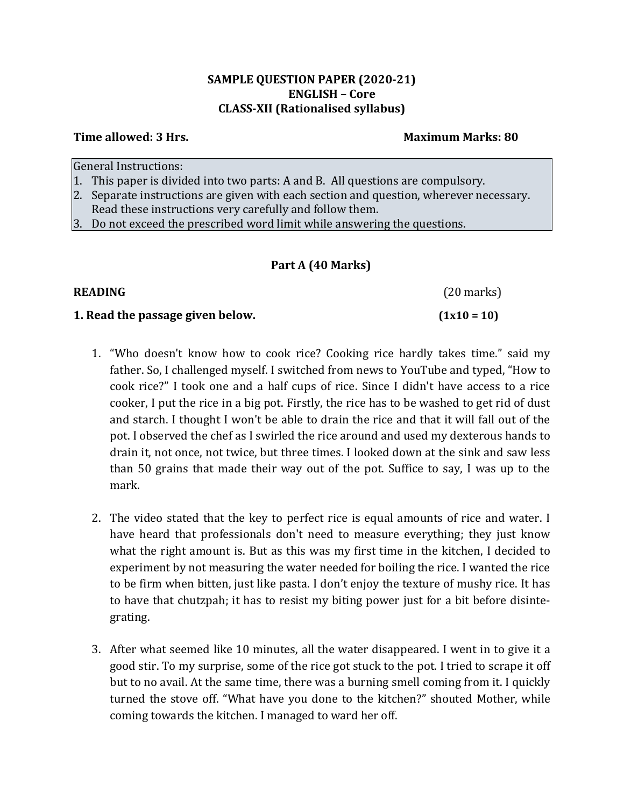#### **SAMPLE QUESTION PAPER (2020-21) ENGLISH – Core CLASS-XII (Rationalised syllabus)**

#### **Time allowed: 3 Hrs. Maximum Marks: 80**

General Instructions:

- 1. This paper is divided into two parts: A and B. All questions are compulsory.
- 2. Separate instructions are given with each section and question, wherever necessary. Read these instructions very carefully and follow them.
- 3. Do not exceed the prescribed word limit while answering the questions.

#### **Part A (40 Marks)**

| <b>READING</b>                   | $(20$ marks)  |
|----------------------------------|---------------|
| 1. Read the passage given below. | $(1x10 = 10)$ |

- 1. "Who doesn't know how to cook rice? Cooking rice hardly takes time." said my father. So, I challenged myself. I switched from news to YouTube and typed, "How to cook rice?" I took one and a half cups of rice. Since I didn't have access to a rice cooker, I put the rice in a big pot. Firstly, the rice has to be washed to get rid of dust and starch. I thought I won't be able to drain the rice and that it will fall out of the pot. I observed the chef as I swirled the rice around and used my dexterous hands to drain it, not once, not twice, but three times. I looked down at the sink and saw less than 50 grains that made their way out of the pot. Suffice to say, I was up to the mark.
- 2. The video stated that the key to perfect rice is equal amounts of rice and water. I have heard that professionals don't need to measure everything; they just know what the right amount is. But as this was my first time in the kitchen, I decided to experiment by not measuring the water needed for boiling the rice. I wanted the rice to be firm when bitten, just like pasta. I don't enjoy the texture of mushy rice. It has to have that chutzpah; it has to resist my biting power just for a bit before disintegrating.
- 3. After what seemed like 10 minutes, all the water disappeared. I went in to give it a good stir. To my surprise, some of the rice got stuck to the pot. I tried to scrape it off but to no avail. At the same time, there was a burning smell coming from it. I quickly turned the stove off. "What have you done to the kitchen?" shouted Mother, while coming towards the kitchen. I managed to ward her off.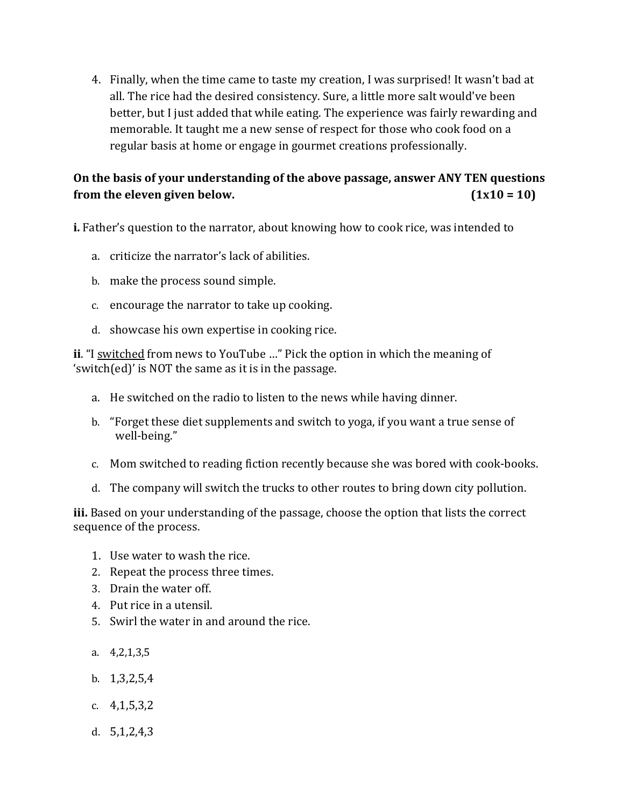4. Finally, when the time came to taste my creation, I was surprised! It wasn't bad at all. The rice had the desired consistency. Sure, a little more salt would've been better, but I just added that while eating. The experience was fairly rewarding and memorable. It taught me a new sense of respect for those who cook food on a regular basis at home or engage in gourmet creations professionally.

# **On the basis of your understanding of the above passage, answer ANY TEN questions from** the eleven given below.  $(1x10 = 10)$

**i.** Father's question to the narrator, about knowing how to cook rice, was intended to

- a. criticize the narrator's lack of abilities.
- b. make the process sound simple.
- c. encourage the narrator to take up cooking.
- d. showcase his own expertise in cooking rice.

**ii**. "I switched from news to YouTube …" Pick the option in which the meaning of 'switch(ed)' is NOT the same as it is in the passage.

- a. He switched on the radio to listen to the news while having dinner.
- b. "Forget these diet supplements and switch to yoga, if you want a true sense of well-being."
- c. Mom switched to reading fiction recently because she was bored with cook-books.
- d. The company will switch the trucks to other routes to bring down city pollution.

**iii.** Based on your understanding of the passage, choose the option that lists the correct sequence of the process.

- 1. Use water to wash the rice.
- 2. Repeat the process three times.
- 3. Drain the water off.
- 4. Put rice in a utensil.
- 5. Swirl the water in and around the rice.
- a. 4,2,1,3,5
- b. 1,3,2,5,4
- c. 4,1,5,3,2
- d. 5,1,2,4,3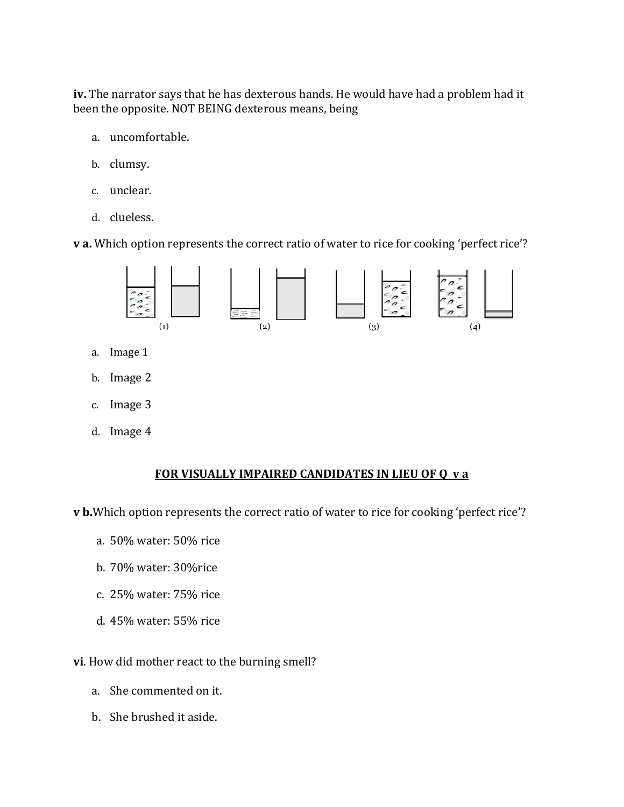**iv.** The narrator says that he has dexterous hands. He would have had a problem had it been the opposite. NOT BEING dexterous means, being

- a. uncomfortable.
- b. clumsy.
- c. unclear.
- d. clueless.

**v a.** Which option represents the correct ratio of water to rice for cooking 'perfect rice'?



- a. Image 1
- b. Image 2
- c. Image 3
- d. Image 4

#### **FOR VISUALLY IMPAIRED CANDIDATES IN LIEU OF Q v a**

**v b.**Which option represents the correct ratio of water to rice for cooking 'perfect rice'?

- a. 50% water: 50% rice
- b. 70% water: 30%rice
- c. 25% water: 75% rice
- d. 45% water: 55% rice

**vi**. How did mother react to the burning smell?

- a. She commented on it.
- b. She brushed it aside.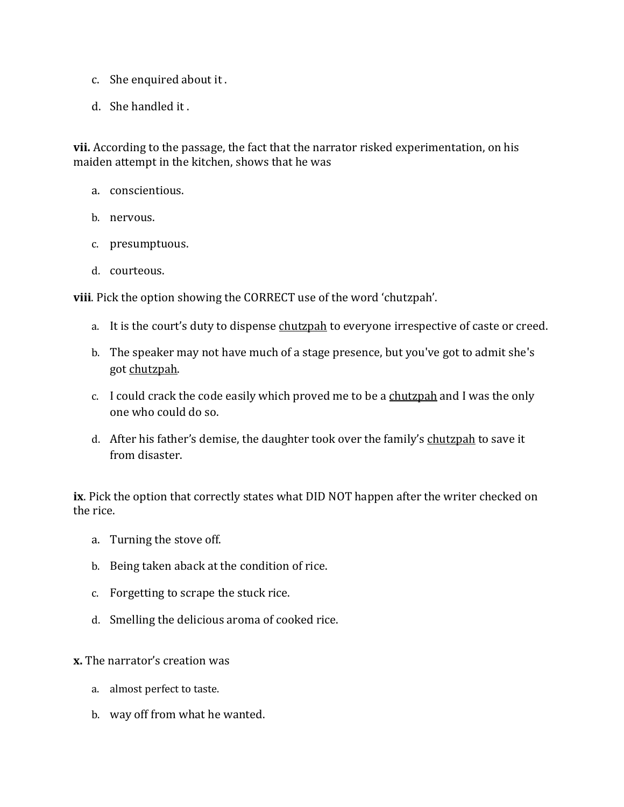- c. She enquired about it .
- d. She handled it .

**vii.** According to the passage, the fact that the narrator risked experimentation, on his maiden attempt in the kitchen, shows that he was

- a. conscientious.
- b. nervous.
- c. presumptuous.
- d. courteous.

**viii**. Pick the option showing the CORRECT use of the word 'chutzpah'.

- a. It is the court's duty to dispense chutzpah to everyone irrespective of caste or creed.
- b. The speaker may not have much of a stage presence, but you've got to admit she's got chutzpah.
- c. I could crack the code easily which proved me to be a chutzpah and I was the only one who could do so.
- d. After his father's demise, the daughter took over the family's chutzpah to save it from disaster.

**ix**. Pick the option that correctly states what DID NOT happen after the writer checked on the rice.

- a. Turning the stove off.
- b. Being taken aback at the condition of rice.
- c. Forgetting to scrape the stuck rice.
- d. Smelling the delicious aroma of cooked rice.

**x.** The narrator's creation was

- a. almost perfect to taste.
- b. way off from what he wanted.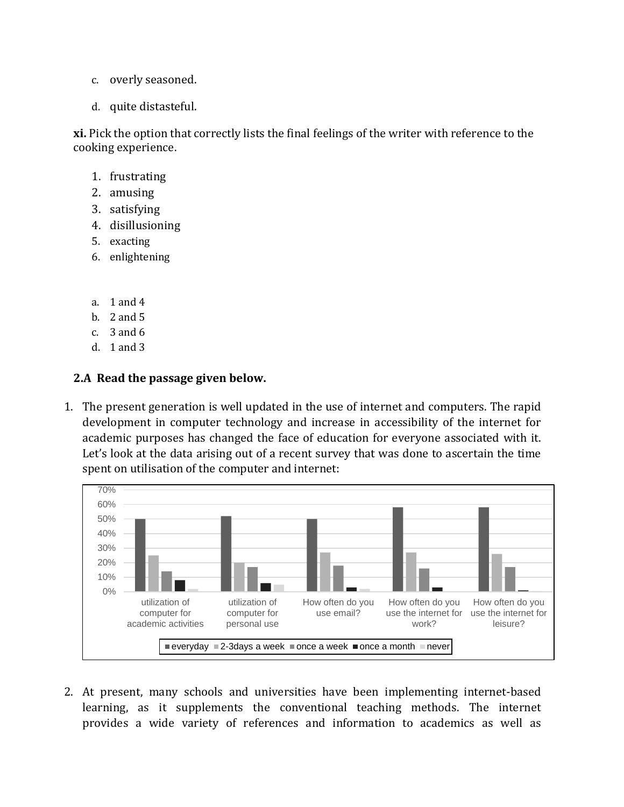- c. overly seasoned.
- d. quite distasteful.

**xi.** Pick the option that correctly lists the final feelings of the writer with reference to the cooking experience.

- 1. frustrating
- 2. amusing
- 3. satisfying
- 4. disillusioning
- 5. exacting
- 6. enlightening
- a. 1 and 4
- b. 2 and 5
- c. 3 and 6
- d. 1 and 3

# **2.A Read the passage given below.**

1. The present generation is well updated in the use of internet and computers. The rapid development in computer technology and increase in accessibility of the internet for academic purposes has changed the face of education for everyone associated with it. Let's look at the data arising out of a recent survey that was done to ascertain the time spent on utilisation of the computer and internet:



2. At present, many schools and universities have been implementing internet-based learning, as it supplements the conventional teaching methods. The internet provides a wide variety of references and information to academics as well as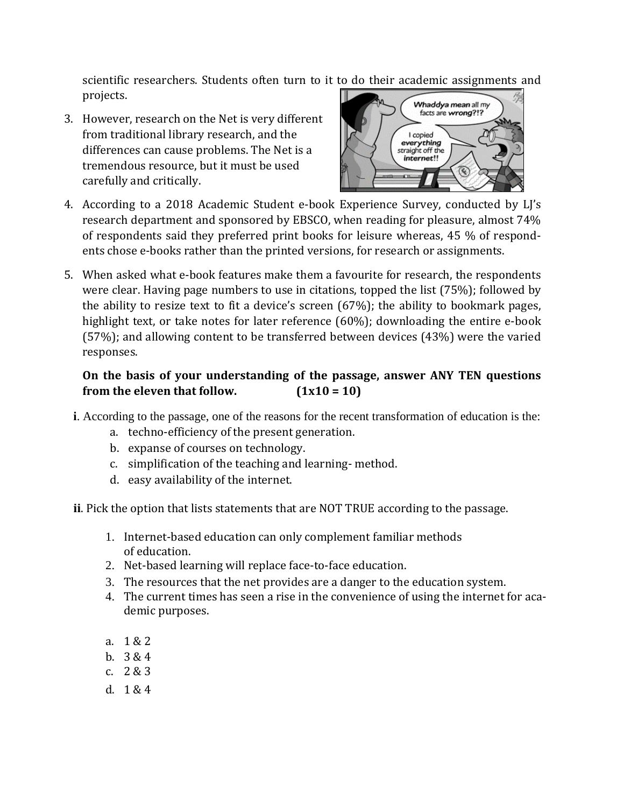scientific researchers. Students often turn to it to do their academic assignments and projects.

3. However, research on the Net is very different from traditional library research, and the differences can cause problems. The Net is a tremendous resource, but it must be used carefully and critically.



- 4. According to a 2018 Academic Student e-book Experience Survey, conducted by LJ's research department and sponsored by EBSCO, when reading for pleasure, almost 74% of respondents said they preferred print books for leisure whereas, 45 % of respondents chose e-books rather than the printed versions, for research or assignments.
- 5. When asked what e-book features make them a favourite for research, the respondents were clear. Having page numbers to use in citations, topped the list (75%); followed by the ability to resize text to fit a device's screen (67%); the ability to bookmark pages, highlight text, or take notes for later reference (60%); downloading the entire e-book (57%); and allowing content to be transferred between devices (43%) were the varied responses.

# **On the basis of your understanding of the passage, answer ANY TEN questions from** the eleven that follow.  $(1x10 = 10)$

- **i**. According to the passage, one of the reasons for the recent transformation of education is the:
	- a. techno-efficiency of the present generation.
	- b. expanse of courses on technology.
	- c. simplification of the teaching and learning- method.
	- d. easy availability of the internet.
- **ii**. Pick the option that lists statements that are NOT TRUE according to the passage.
	- 1. Internet-based education can only complement familiar methods of education.
	- 2. Net-based learning will replace face-to-face education.
	- 3. The resources that the net provides are a danger to the education system.
	- 4. The current times has seen a rise in the convenience of using the internet for academic purposes.
	- a. 1 & 2
	- b. 3 & 4
	- c. 2 & 3
	- d. 1 & 4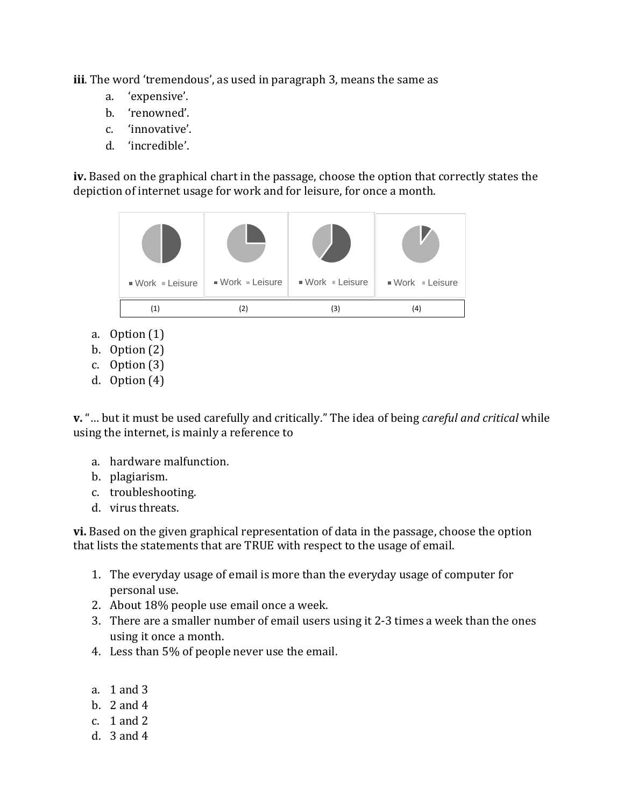**iii**. The word 'tremendous', as used in paragraph 3, means the same as

- a. 'expensive'.
- b. 'renowned'.
- c. 'innovative'.
- d. 'incredible'.

**iv.** Based on the graphical chart in the passage, choose the option that correctly states the depiction of internet usage for work and for leisure, for once a month.



- a. Option (1)
- b. Option (2)
- c. Option (3)
- d. Option (4)

**v.** "… but it must be used carefully and critically." The idea of being *careful and critical* while using the internet, is mainly a reference to

- a. hardware malfunction.
- b. plagiarism.
- c. troubleshooting.
- d. virus threats.

**vi.** Based on the given graphical representation of data in the passage, choose the option that lists the statements that are TRUE with respect to the usage of email.

- 1. The everyday usage of email is more than the everyday usage of computer for personal use.
- 2. About 18% people use email once a week.
- 3. There are a smaller number of email users using it 2-3 times a week than the ones using it once a month.
- 4. Less than 5% of people never use the email.
- a. 1 and 3
- b. 2 and 4
- c. 1 and 2
- d. 3 and 4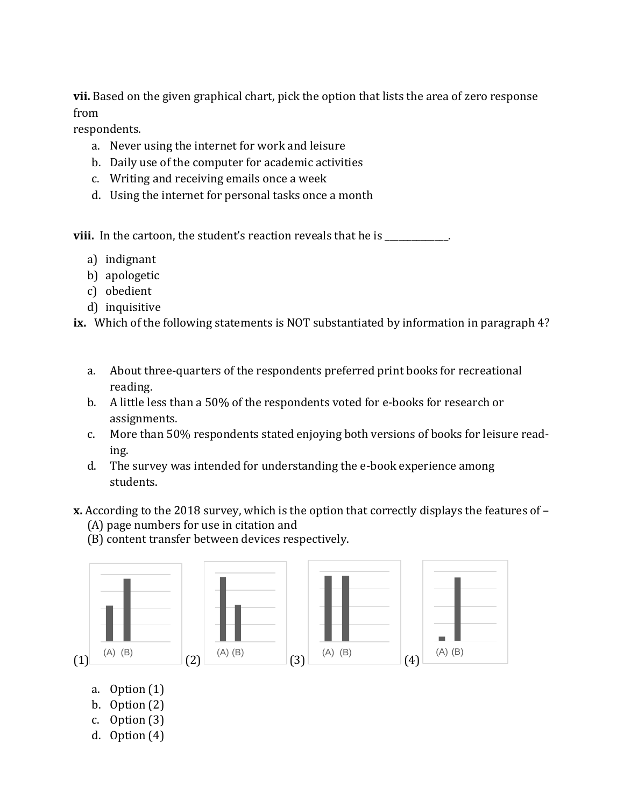**vii.** Based on the given graphical chart, pick the option that lists the area of zero response from

respondents.

- a. Never using the internet for work and leisure
- b. Daily use of the computer for academic activities
- c. Writing and receiving emails once a week
- d. Using the internet for personal tasks once a month

**viii.** In the cartoon, the student's reaction reveals that he is

- a) indignant
- b) apologetic
- c) obedient
- d) inquisitive

**ix.** Which of the following statements is NOT substantiated by information in paragraph 4?

- a. About three-quarters of the respondents preferred print books for recreational reading.
- b. A little less than a 50% of the respondents voted for e-books for research or assignments.
- c. More than 50% respondents stated enjoying both versions of books for leisure reading.
- d. The survey was intended for understanding the e-book experience among students.
- **x.** According to the 2018 survey, which is the option that correctly displays the features of
	- (A) page numbers for use in citation and
	- (B) content transfer between devices respectively.



- a. Option (1)
- b. Option (2)
- c. Option (3)
- d. Option (4)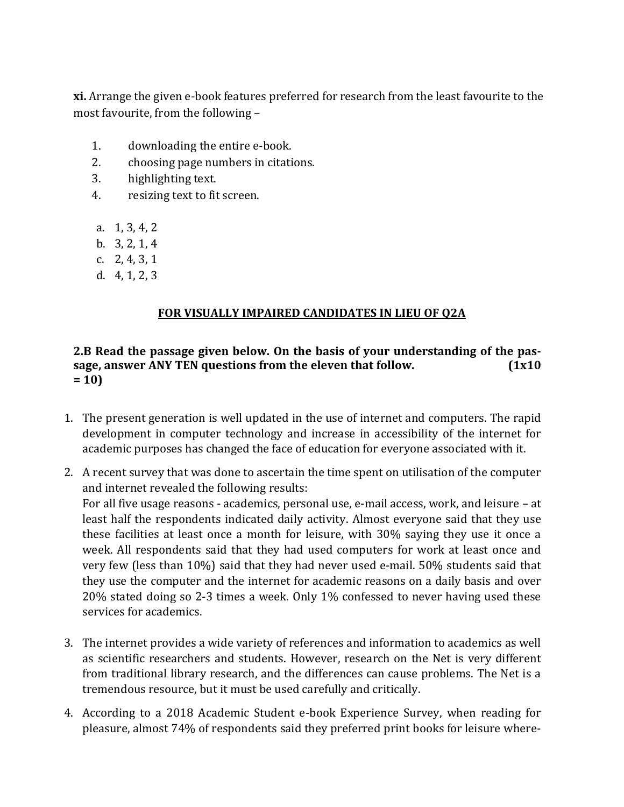**xi.** Arrange the given e-book features preferred for research from the least favourite to the most favourite, from the following –

- 1. downloading the entire e-book.
- 2. choosing page numbers in citations.
- 3. highlighting text.
- 4. resizing text to fit screen.
- a. 1, 3, 4, 2
- b. 3, 2, 1, 4
- c. 2, 4, 3, 1
- d. 4, 1, 2, 3

# **FOR VISUALLY IMPAIRED CANDIDATES IN LIEU OF Q2A**

#### **2.B Read the passage given below. On the basis of your understanding of the passage, answer ANY TEN questions from the eleven that follow. (1x10 = 10)**

- 1. The present generation is well updated in the use of internet and computers. The rapid development in computer technology and increase in accessibility of the internet for academic purposes has changed the face of education for everyone associated with it.
- 2. A recent survey that was done to ascertain the time spent on utilisation of the computer and internet revealed the following results: For all five usage reasons - academics, personal use, e-mail access, work, and leisure – at least half the respondents indicated daily activity. Almost everyone said that they use these facilities at least once a month for leisure, with 30% saying they use it once a week. All respondents said that they had used computers for work at least once and very few (less than 10%) said that they had never used e-mail. 50% students said that they use the computer and the internet for academic reasons on a daily basis and over 20% stated doing so 2-3 times a week. Only 1% confessed to never having used these services for academics.
- 3. The internet provides a wide variety of references and information to academics as well as scientific researchers and students. However, research on the Net is very different from traditional library research, and the differences can cause problems. The Net is a tremendous resource, but it must be used carefully and critically.
- 4. According to a 2018 Academic Student e-book Experience Survey, when reading for pleasure, almost 74% of respondents said they preferred print books for leisure where-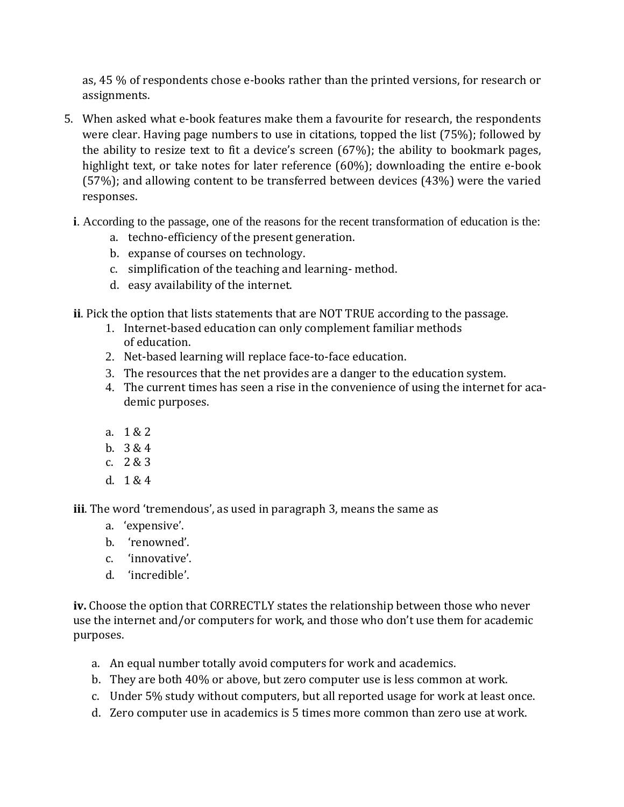as, 45 % of respondents chose e-books rather than the printed versions, for research or assignments.

- 5. When asked what e-book features make them a favourite for research, the respondents were clear. Having page numbers to use in citations, topped the list (75%); followed by the ability to resize text to fit a device's screen (67%); the ability to bookmark pages, highlight text, or take notes for later reference (60%); downloading the entire e-book (57%); and allowing content to be transferred between devices (43%) were the varied responses.
	- **i**. According to the passage, one of the reasons for the recent transformation of education is the:
		- a. techno-efficiency of the present generation.
		- b. expanse of courses on technology.
		- c. simplification of the teaching and learning- method.
		- d. easy availability of the internet.
	- **ii**. Pick the option that lists statements that are NOT TRUE according to the passage.
		- 1. Internet-based education can only complement familiar methods of education.
		- 2. Net-based learning will replace face-to-face education.
		- 3. The resources that the net provides are a danger to the education system.
		- 4. The current times has seen a rise in the convenience of using the internet for academic purposes.
		- a. 1 & 2
		- b. 3 & 4
		- c. 2 & 3
		- d. 1 & 4

**iii**. The word 'tremendous', as used in paragraph 3, means the same as

- a. 'expensive'.
- b. 'renowned'.
- c. 'innovative'.
- d. 'incredible'.

**iv.** Choose the option that CORRECTLY states the relationship between those who never use the internet and/or computers for work, and those who don't use them for academic purposes.

- a. An equal number totally avoid computers for work and academics.
- b. They are both 40% or above, but zero computer use is less common at work.
- c. Under 5% study without computers, but all reported usage for work at least once.
- d. Zero computer use in academics is 5 times more common than zero use at work.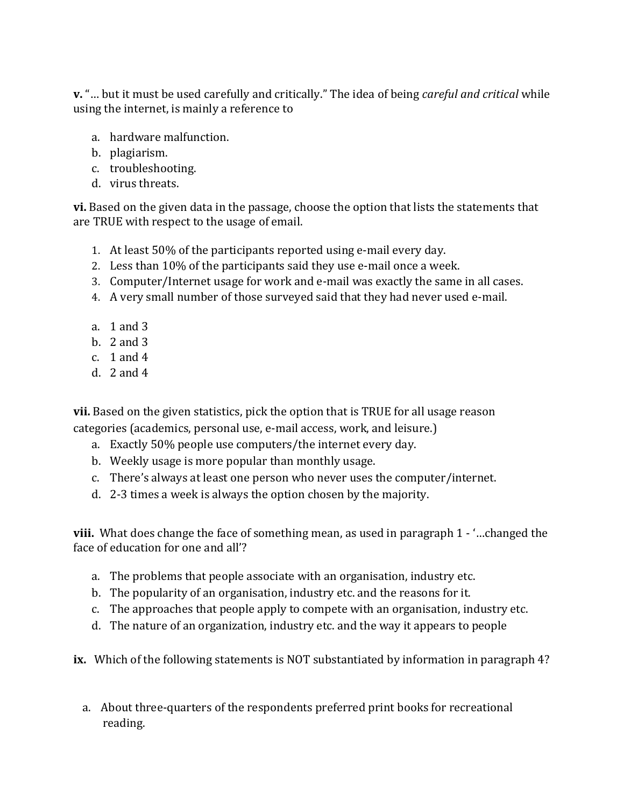**v.** "… but it must be used carefully and critically." The idea of being *careful and critical* while using the internet, is mainly a reference to

- a. hardware malfunction.
- b. plagiarism.
- c. troubleshooting.
- d. virus threats.

**vi.** Based on the given data in the passage, choose the option that lists the statements that are TRUE with respect to the usage of email.

- 1. At least 50% of the participants reported using e-mail every day.
- 2. Less than 10% of the participants said they use e-mail once a week.
- 3. Computer/Internet usage for work and e-mail was exactly the same in all cases.
- 4. A very small number of those surveyed said that they had never used e-mail.
- a. 1 and 3
- b. 2 and 3
- c. 1 and 4
- d. 2 and 4

**vii.** Based on the given statistics, pick the option that is TRUE for all usage reason categories (academics, personal use, e-mail access, work, and leisure.)

- a. Exactly 50% people use computers/the internet every day.
- b. Weekly usage is more popular than monthly usage.
- c. There's always at least one person who never uses the computer/internet.
- d. 2-3 times a week is always the option chosen by the majority.

**viii.** What does change the face of something mean, as used in paragraph 1 - '…changed the face of education for one and all'?

- a. The problems that people associate with an organisation, industry etc.
- b. The popularity of an organisation, industry etc. and the reasons for it.
- c. The approaches that people apply to compete with an organisation, industry etc.
- d. The nature of an organization, industry etc. and the way it appears to people

**ix.** Which of the following statements is NOT substantiated by information in paragraph 4?

a. About three-quarters of the respondents preferred print books for recreational reading.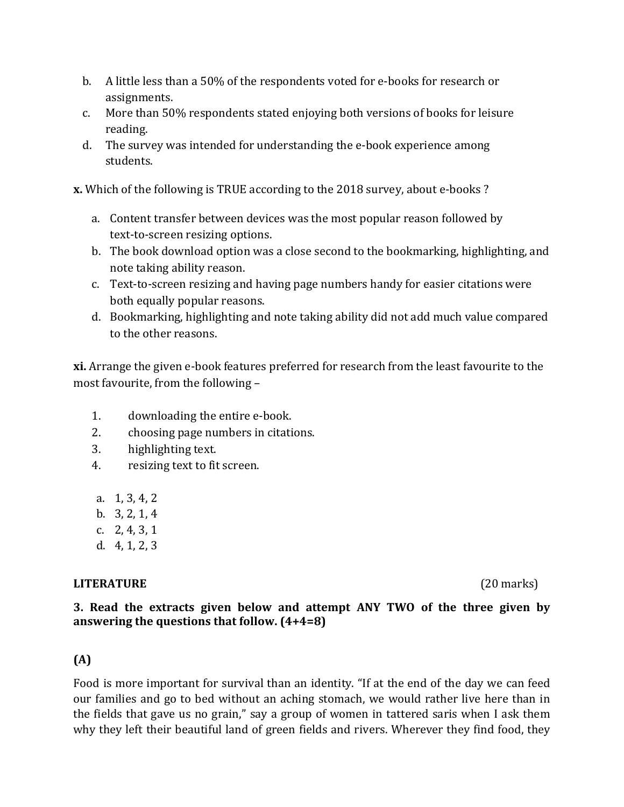- b. A little less than a 50% of the respondents voted for e-books for research or assignments.
- c. More than 50% respondents stated enjoying both versions of books for leisure reading.
- d. The survey was intended for understanding the e-book experience among students.

**x.** Which of the following is TRUE according to the 2018 survey, about e-books ?

- a. Content transfer between devices was the most popular reason followed by text-to-screen resizing options.
- b. The book download option was a close second to the bookmarking, highlighting, and note taking ability reason.
- c. Text-to-screen resizing and having page numbers handy for easier citations were both equally popular reasons.
- d. Bookmarking, highlighting and note taking ability did not add much value compared to the other reasons.

**xi.** Arrange the given e-book features preferred for research from the least favourite to the most favourite, from the following –

- 1. downloading the entire e-book.
- 2. choosing page numbers in citations.
- 3. highlighting text.
- 4. resizing text to fit screen.
- a. 1, 3, 4, 2
- b. 3, 2, 1, 4
- c. 2, 4, 3, 1
- d. 4, 1, 2, 3

# **LITERATURE** (20 marks)

# **3. Read the extracts given below and attempt ANY TWO of the three given by answering the questions that follow. (4+4=8)**

# **(A)**

Food is more important for survival than an identity. "If at the end of the day we can feed our families and go to bed without an aching stomach, we would rather live here than in the fields that gave us no grain," say a group of women in tattered saris when I ask them why they left their beautiful land of green fields and rivers. Wherever they find food, they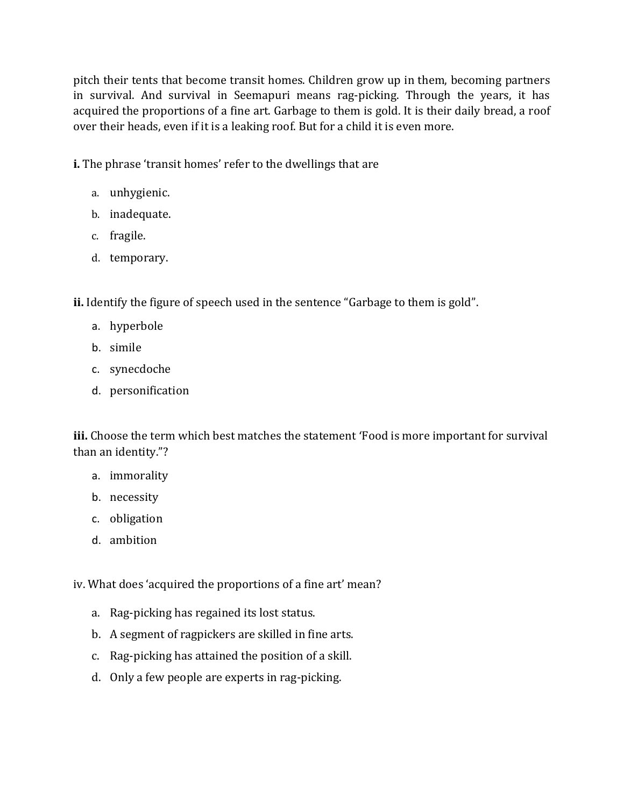pitch their tents that become transit homes. Children grow up in them, becoming partners in survival. And survival in Seemapuri means rag-picking. Through the years, it has acquired the proportions of a fine art. Garbage to them is gold. It is their daily bread, a roof over their heads, even if it is a leaking roof. But for a child it is even more.

**i.** The phrase 'transit homes' refer to the dwellings that are

- a. unhygienic.
- b. inadequate.
- c. fragile.
- d. temporary.

**ii.** Identify the figure of speech used in the sentence "Garbage to them is gold".

- a. hyperbole
- b. simile
- c. synecdoche
- d. personification

**iii.** Choose the term which best matches the statement 'Food is more important for survival than an identity."?

- a. immorality
- b. necessity
- c. obligation
- d. ambition

iv. What does 'acquired the proportions of a fine art' mean?

- a. Rag-picking has regained its lost status.
- b. A segment of ragpickers are skilled in fine arts.
- c. Rag-picking has attained the position of a skill.
- d. Only a few people are experts in rag-picking.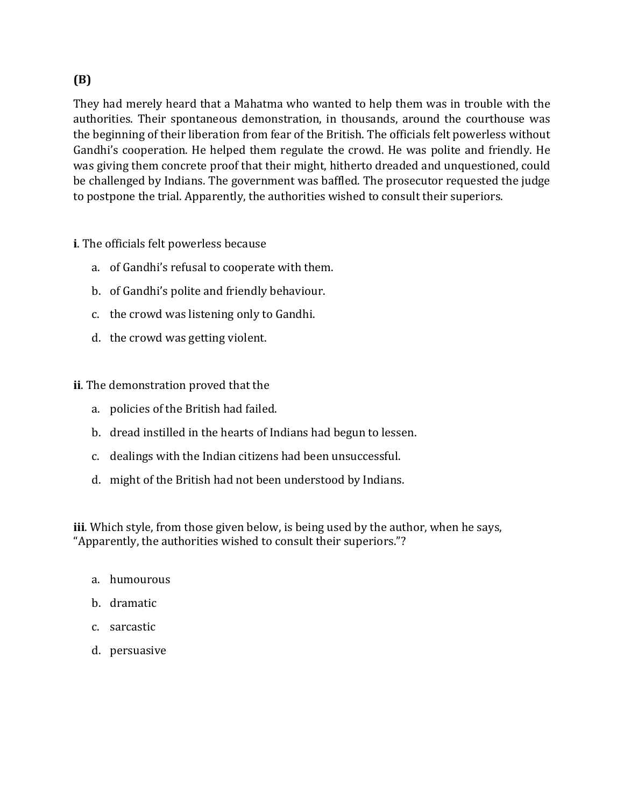# **(B)**

They had merely heard that a Mahatma who wanted to help them was in trouble with the authorities. Their spontaneous demonstration, in thousands, around the courthouse was the beginning of their liberation from fear of the British. The officials felt powerless without Gandhi's cooperation. He helped them regulate the crowd. He was polite and friendly. He was giving them concrete proof that their might, hitherto dreaded and unquestioned, could be challenged by Indians. The government was baffled. The prosecutor requested the judge to postpone the trial. Apparently, the authorities wished to consult their superiors.

**i**. The officials felt powerless because

- a. of Gandhi's refusal to cooperate with them.
- b. of Gandhi's polite and friendly behaviour.
- c. the crowd was listening only to Gandhi.
- d. the crowd was getting violent.

#### **ii**. The demonstration proved that the

- a. policies of the British had failed.
- b. dread instilled in the hearts of Indians had begun to lessen.
- c. dealings with the Indian citizens had been unsuccessful.
- d. might of the British had not been understood by Indians.

**iii**. Which style, from those given below, is being used by the author, when he says, "Apparently, the authorities wished to consult their superiors."?

- a. humourous
- b. dramatic
- c. sarcastic
- d. persuasive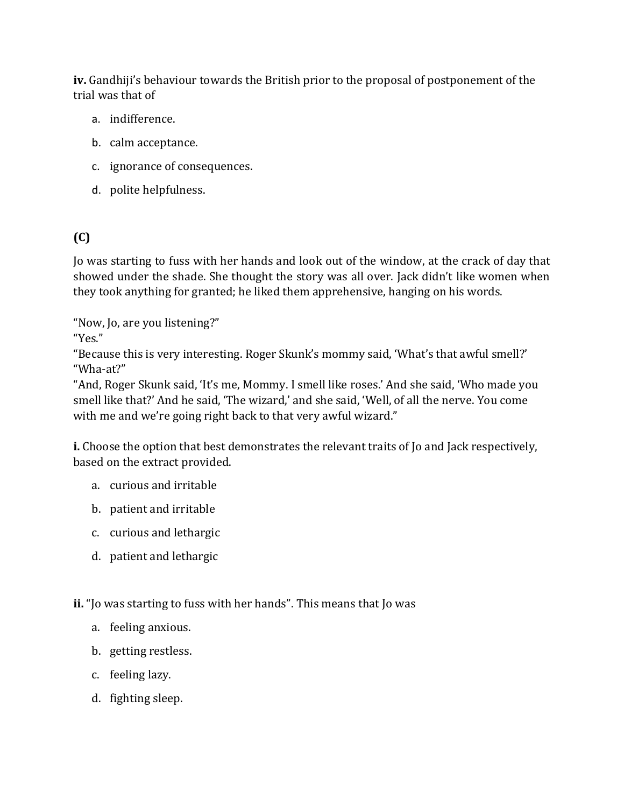**iv.** Gandhiji's behaviour towards the British prior to the proposal of postponement of the trial was that of

- a. indifference.
- b. calm acceptance.
- c. ignorance of consequences.
- d. polite helpfulness.

# **(C)**

Jo was starting to fuss with her hands and look out of the window, at the crack of day that showed under the shade. She thought the story was all over. Jack didn't like women when they took anything for granted; he liked them apprehensive, hanging on his words.

"Now, Jo, are you listening?"

"Yes."

"Because this is very interesting. Roger Skunk's mommy said, 'What's that awful smell?' "Wha-at?"

"And, Roger Skunk said, 'It's me, Mommy. I smell like roses.' And she said, 'Who made you smell like that?' And he said, 'The wizard,' and she said, 'Well, of all the nerve. You come with me and we're going right back to that very awful wizard."

**i.** Choose the option that best demonstrates the relevant traits of Jo and Jack respectively, based on the extract provided.

- a. curious and irritable
- b. patient and irritable
- c. curious and lethargic
- d. patient and lethargic

**ii.** "Jo was starting to fuss with her hands". This means that Jo was

- a. feeling anxious.
- b. getting restless.
- c. feeling lazy.
- d. fighting sleep.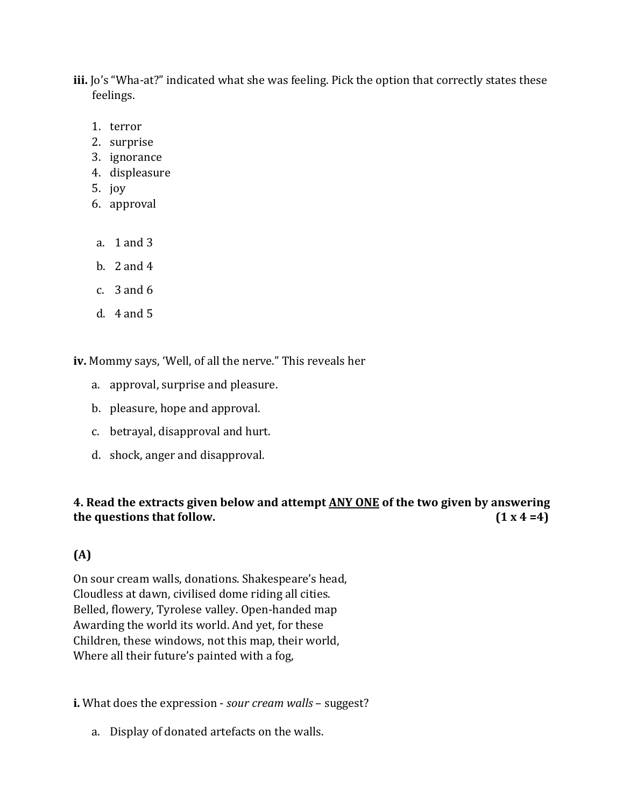- **iii.** Jo's "Wha-at?" indicated what she was feeling. Pick the option that correctly states these feelings.
	- 1. terror
	- 2. surprise
	- 3. ignorance
	- 4. displeasure
	- 5. joy
	- 6. approval
	- a. 1 and 3
	- b. 2 and 4
	- c. 3 and 6
	- d. 4 and 5

**iv.** Mommy says, 'Well, of all the nerve." This reveals her

- a. approval, surprise and pleasure.
- b. pleasure, hope and approval.
- c. betrayal, disapproval and hurt.
- d. shock, anger and disapproval.

# **4. Read the extracts given below and attempt ANY ONE of the two given by answering the** questions that follow.  $(1 \times 4 = 4)$

# **(A)**

On sour cream walls, donations. Shakespeare's head, Cloudless at dawn, civilised dome riding all cities. Belled, flowery, Tyrolese valley. Open-handed map Awarding the world its world. And yet, for these Children, these windows, not this map, their world, Where all their future's painted with a fog,

**i.** What does the expression - *sour cream walls* – suggest?

a. Display of donated artefacts on the walls.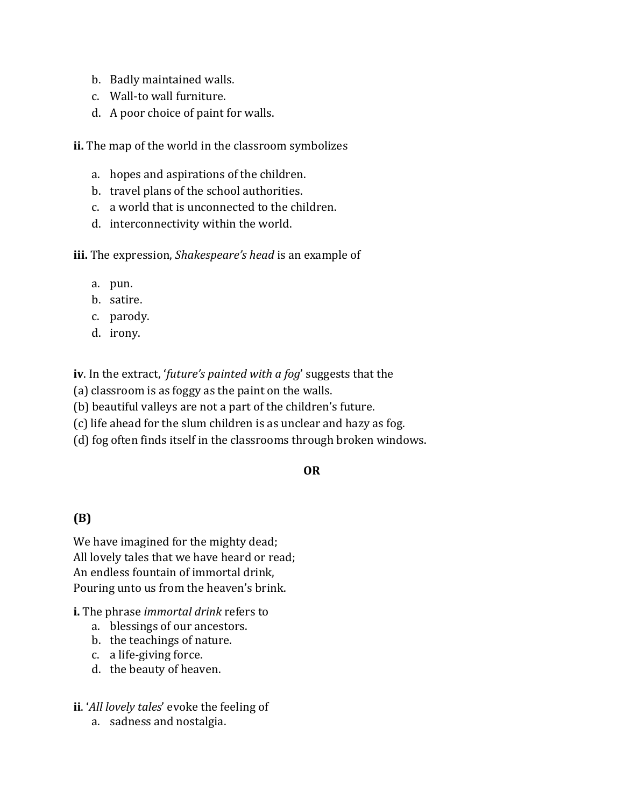- b. Badly maintained walls.
- c. Wall-to wall furniture.
- d. A poor choice of paint for walls.

**ii.** The map of the world in the classroom symbolizes

- a. hopes and aspirations of the children.
- b. travel plans of the school authorities.
- c. a world that is unconnected to the children.
- d. interconnectivity within the world.

**iii.** The expression, *Shakespeare's head* is an example of

- a. pun.
- b. satire.
- c. parody.
- d. irony.

**iv**. In the extract, '*future's painted with a fog*' suggests that the

- (a) classroom is as foggy as the paint on the walls.
- (b) beautiful valleys are not a part of the children's future.
- (c) life ahead for the slum children is as unclear and hazy as fog.
- (d) fog often finds itself in the classrooms through broken windows.

# **OR**

# **(B)**

We have imagined for the mighty dead; All lovely tales that we have heard or read; An endless fountain of immortal drink, Pouring unto us from the heaven's brink.

#### **i.** The phrase *immortal drink* refers to

- a. blessings of our ancestors.
- b. the teachings of nature.
- c. a life-giving force.
- d. the beauty of heaven.

#### **ii**. '*All lovely tales*' evoke the feeling of

a. sadness and nostalgia.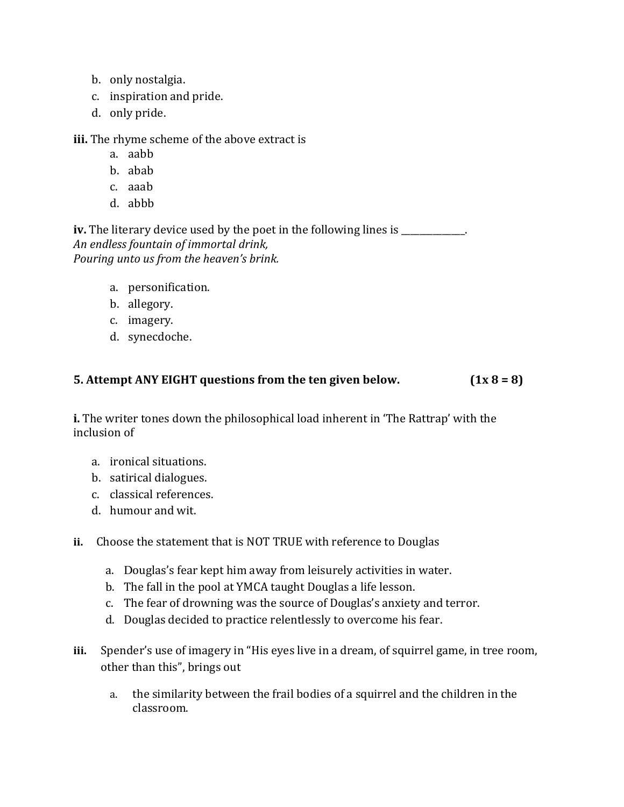- b. only nostalgia.
- c. inspiration and pride.
- d. only pride.

**iii.** The rhyme scheme of the above extract is

- a. aabb
- b. abab
- c. aaab
- d. abbb

**iv.** The literary device used by the poet in the following lines is \_\_\_\_\_\_\_\_\_\_\_. *An endless fountain of immortal drink, Pouring unto us from the heaven's brink.*

- a. personification.
- b. allegory.
- c. imagery.
- d. synecdoche.

# **5. Attempt ANY EIGHT questions from the ten given below. (1x 8 = 8)**

**i.** The writer tones down the philosophical load inherent in 'The Rattrap' with the inclusion of

- a. ironical situations.
- b. satirical dialogues.
- c. classical references.
- d. humour and wit.
- **ii.** Choose the statement that is NOT TRUE with reference to Douglas
	- a. Douglas's fear kept him away from leisurely activities in water.
	- b. The fall in the pool at YMCA taught Douglas a life lesson.
	- c. The fear of drowning was the source of Douglas's anxiety and terror.
	- d. Douglas decided to practice relentlessly to overcome his fear.
- **iii.** Spender's use of imagery in "His eyes live in a dream, of squirrel game, in tree room, other than this", brings out
	- a. the similarity between the frail bodies of a squirrel and the children in the classroom.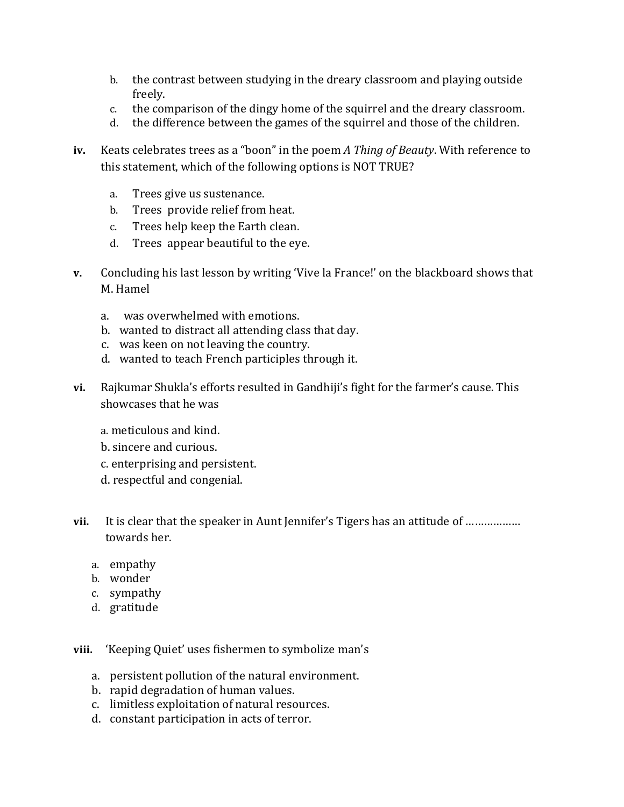- b. the contrast between studying in the dreary classroom and playing outside freely.
- c. the comparison of the dingy home of the squirrel and the dreary classroom.
- d. the difference between the games of the squirrel and those of the children.
- **iv.** Keats celebrates trees as a "boon" in the poem *A Thing of Beauty*. With reference to this statement, which of the following options is NOT TRUE?
	- a. Trees give us sustenance.
	- b. Trees provide relief from heat.
	- c. Trees help keep the Earth clean.
	- d. Trees appear beautiful to the eye.
- **v.** Concluding his last lesson by writing 'Vive la France!' on the blackboard shows that M. Hamel
	- a. was overwhelmed with emotions.
	- b. wanted to distract all attending class that day.
	- c. was keen on not leaving the country.
	- d. wanted to teach French participles through it.
- **vi.** Rajkumar Shukla's efforts resulted in Gandhiji's fight for the farmer's cause. This showcases that he was
	- a. meticulous and kind.
	- b. sincere and curious.
	- c. enterprising and persistent.
	- d. respectful and congenial.
- vii. It is clear that the speaker in Aunt Jennifer's Tigers has an attitude of ................... towards her.
	- a. empathy
	- b. wonder
	- c. sympathy
	- d. gratitude

**viii.** 'Keeping Quiet' uses fishermen to symbolize man's

- a. persistent pollution of the natural environment.
- b. rapid degradation of human values.
- c. limitless exploitation of natural resources.
- d. constant participation in acts of terror.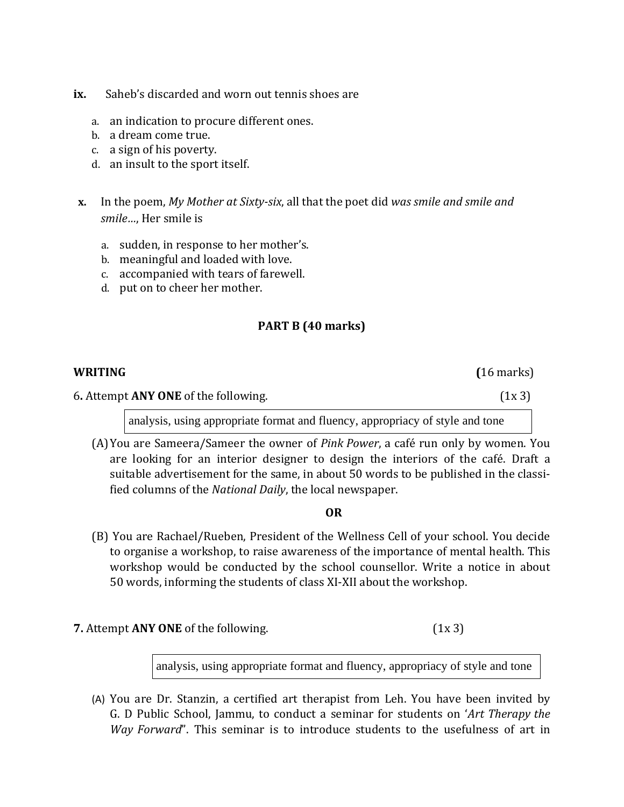- **ix.** Saheb's discarded and worn out tennis shoes are
	- a. an indication to procure different ones.
	- b. a dream come true.
	- c. a sign of his poverty.
	- d. an insult to the sport itself.
- **x.** In the poem, *My Mother at Sixty-six*, all that the poet did *was smile and smile and smile…*, Her smile is
	- a. sudden, in response to her mother's.
	- b. meaningful and loaded with love.
	- c. accompanied with tears of farewell.
	- d. put on to cheer her mother.

# **PART B (40 marks)**

# **WRITING (**16 marks) 6**.** Attempt **ANY ONE** of the following. (1x 3) analysis, using appropriate format and fluency, appropriacy of style and tone

(A)You are Sameera/Sameer the owner of *Pink Power*, a café run only by women. You are looking for an interior designer to design the interiors of the café. Draft a suitable advertisement for the same, in about 50 words to be published in the classified columns of the *National Daily*, the local newspaper.

#### *OR*

- (B) You are Rachael/Rueben, President of the Wellness Cell of your school. You decide to organise a workshop, to raise awareness of the importance of mental health. This workshop would be conducted by the school counsellor. Write a notice in about 50 words, informing the students of class XI-XII about the workshop.
- **7.** Attempt **ANY ONE** of the following. (1x 3)

analysis, using appropriate format and fluency, appropriacy of style and tone

(A) You are Dr. Stanzin, a certified art therapist from Leh. You have been invited by G. D Public School, Jammu, to conduct a seminar for students on '*Art Therapy the Way Forward*". This seminar is to introduce students to the usefulness of art in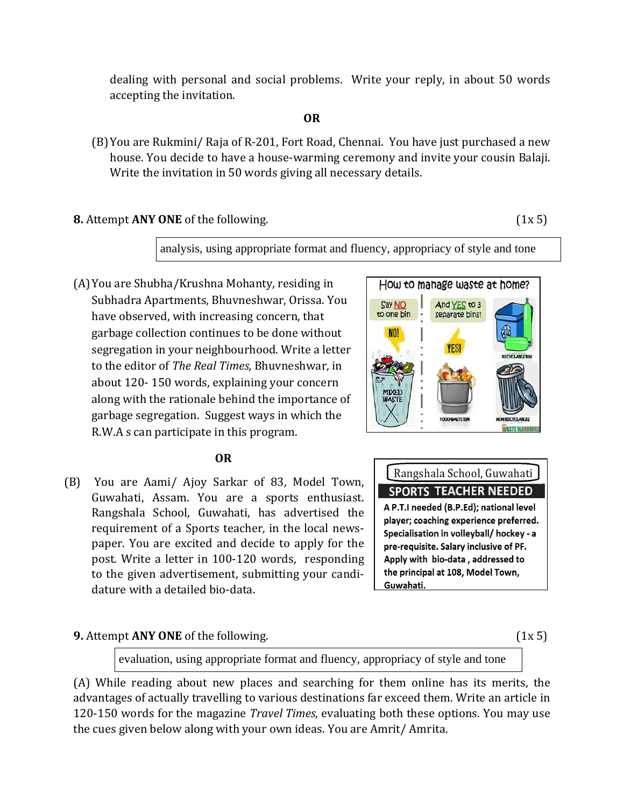dealing with personal and social problems. Write your reply, in about 50 words accepting the invitation.

#### **OR**

(B)You are Rukmini/ Raja of R-201, Fort Road, Chennai. You have just purchased a new house. You decide to have a house-warming ceremony and invite your cousin Balaji. Write the invitation in 50 words giving all necessary details.

**8.** Attempt **ANY ONE** of the following. (1x 5)

analysis, using appropriate format and fluency, appropriacy of style and tone

(A)You are Shubha/Krushna Mohanty, residing in Subhadra Apartments, Bhuvneshwar, Orissa. You have observed, with increasing concern, that garbage collection continues to be done without segregation in your neighbourhood. Write a letter to the editor of *The Real Times,* Bhuvneshwar, in about 120- 150 words, explaining your concern along with the rationale behind the importance of garbage segregation. Suggest ways in which the R.W.A s can participate in this program.

#### **OR**

(B) You are Aami/ Ajoy Sarkar of 83, Model Town, Guwahati, Assam. You are a sports enthusiast. Rangshala School, Guwahati, has advertised the requirement of a Sports teacher, in the local newspaper. You are excited and decide to apply for the post. Write a letter in 100-120 words, responding to the given advertisement, submitting your candidature with a detailed bio-data.

#### **9.** Attempt **ANY ONE** of the following. (1x 5)





evaluation, using appropriate format and fluency, appropriacy of style and tone

(A) While reading about new places and searching for them online has its merits, the advantages of actually travelling to various destinations far exceed them. Write an article in 120-150 words for the magazine *Travel Times*, evaluating both these options. You may use the cues given below along with your own ideas. You are Amrit/ Amrita.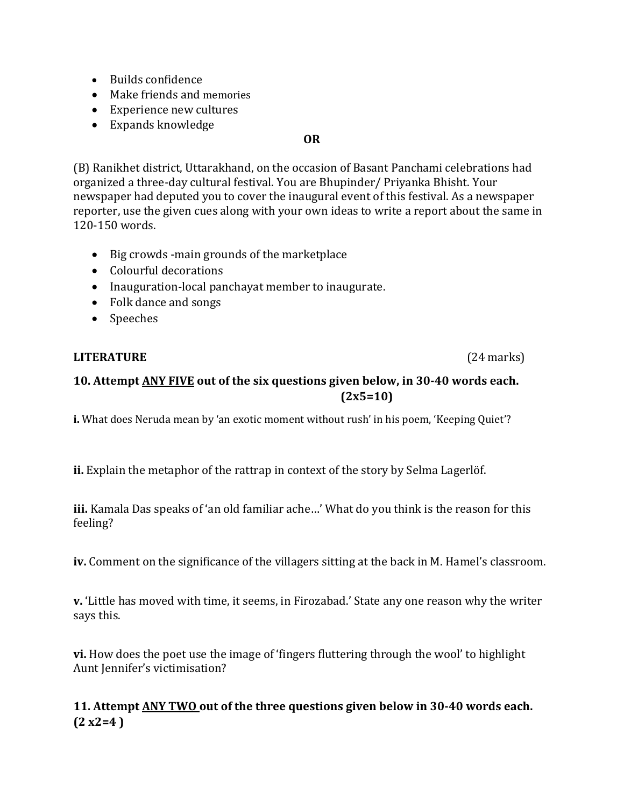- Builds confidence
- Make friends and memories
- Experience new cultures
- Expands knowledge

#### **OR**

(B) Ranikhet district, Uttarakhand, on the occasion of Basant Panchami celebrations had organized a three-day cultural festival. You are Bhupinder/ Priyanka Bhisht. Your newspaper had deputed you to cover the inaugural event of this festival. As a newspaper reporter, use the given cues along with your own ideas to write a report about the same in 120-150 words.

- Big crowds -main grounds of the marketplace
- Colourful decorations
- Inauguration-local panchayat member to inaugurate.
- Folk dance and songs
- Speeches

# **LITERATURE** (24 marks)

# **10. Attempt ANY FIVE out of the six questions given below, in 30-40 words each. (2x5=10)**

**i.** What does Neruda mean by 'an exotic moment without rush' in his poem, 'Keeping Quiet'?

**ii.** Explain the metaphor of the rattrap in context of the story by Selma Lagerlöf.

**iii.** Kamala Das speaks of 'an old familiar ache…' What do you think is the reason for this feeling?

**iv.** Comment on the significance of the villagers sitting at the back in M. Hamel's classroom.

**v.** 'Little has moved with time, it seems, in Firozabad.' State any one reason why the writer says this.

**vi.** How does the poet use the image of 'fingers fluttering through the wool' to highlight Aunt Jennifer's victimisation?

# **11. Attempt ANY TWO out of the three questions given below in 30-40 words each. (2 x2=4 )**